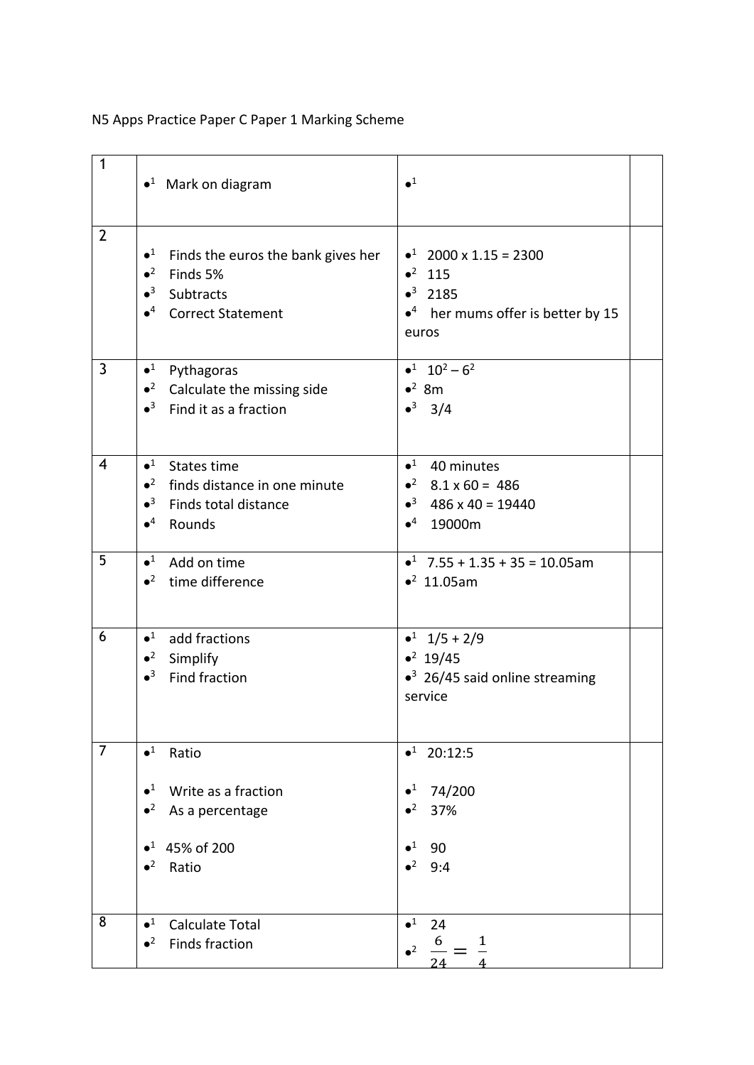## N5 Apps Practice Paper C Paper 1 Marking Scheme

| $\mathbf{1}$   | $\bullet$ <sup>1</sup> Mark on diagram                                                                                                            | $\bullet^1$                                                                                                    |
|----------------|---------------------------------------------------------------------------------------------------------------------------------------------------|----------------------------------------------------------------------------------------------------------------|
| $\overline{2}$ | $\bullet^1$<br>Finds the euros the bank gives her<br>$\bullet^2$<br>Finds 5%<br>$\bullet^3$ Subtracts<br>● <sup>4</sup> Correct Statement         | $\bullet^1$ 2000 x 1.15 = 2300<br>$•2$ 115<br>$•3$ 2185<br>$\bullet^4$ her mums offer is better by 15<br>euros |
| $\overline{3}$ | $\bullet^1$<br>Pythagoras<br>$\bullet^2$ Calculate the missing side<br>$\bullet^3$ Find it as a fraction                                          | $•1$ 10 <sup>2</sup> - 6 <sup>2</sup><br>$\bullet^2$ 8m<br>$•3$ 3/4                                            |
| 4              | $\bullet^1$ States time<br>$\bullet^2$ finds distance in one minute<br>$\bullet^3$ Finds total distance<br>$\bullet^4$<br>Rounds                  | $•1$ 40 minutes<br>$\bullet^2$ 8.1 x 60 = 486<br>$\bullet^3$ 486 x 40 = 19440<br>$•4$ 19000m                   |
| 5              | $\bullet^1$<br>Add on time<br>$\bullet^2$ time difference                                                                                         | $\bullet^1$ 7.55 + 1.35 + 35 = 10.05am<br>$•2$ 11.05am                                                         |
| 6              | $\bullet^1$<br>add fractions<br>$\bullet^2$<br>Simplify<br>$\bullet^3$<br>Find fraction                                                           | $\bullet^1$ 1/5 + 2/9<br>• <sup>2</sup> 19/45<br>$\bullet^3$ 26/45 said online streaming<br>service            |
| $\overline{7}$ | $\bullet^1$<br>Ratio<br>Write as a fraction<br>$\bullet^1$<br>$\bullet^2$<br>As a percentage<br>45% of 200<br>$\bullet^1$<br>$\bullet^2$<br>Ratio | $•1$ 20:12:5<br>$\bullet^1$<br>74/200<br>$\bullet^2$<br>37%<br>$\bullet^1$<br>90<br>$\bullet^2$<br>9:4         |
| 8              | $\bullet^1$<br><b>Calculate Total</b><br><b>Finds fraction</b><br>$\bullet^2$                                                                     | $\bullet^1$<br>24<br>6<br>1<br>$^2$<br>24                                                                      |